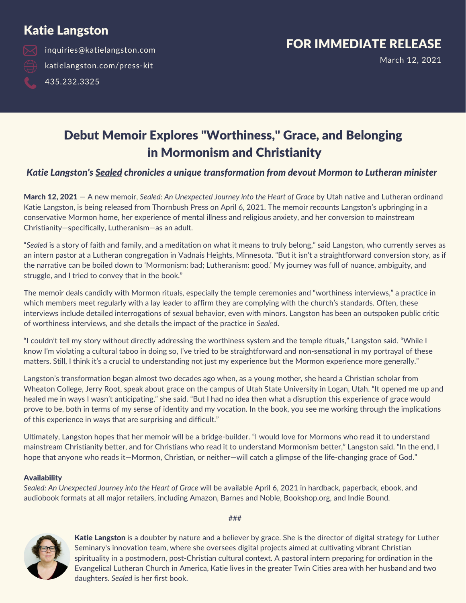### Katie Langston

inquiries@katielangston.com katielangston.com/press-kit 435.232.3325

### FOR IMMEDIATE RELEASE

March 12, 2021

### Debut Memoir Explores "Worthiness, " Grace, and Belonging in Mormonism and Christianity

#### *Katie Langston's Sealed chronicles a unique transformation from devout Mormon to Lutheran minister*

March 12, 2021 — A new memoir, *Sealed: An Unexpected Journey into the Heart of Grace* by Utah native and Lutheran ordinand Katie Langston, is being released from Thornbush Press on April 6, 2021. The memoir recounts Langston's upbringing in a conservative Mormon home, her experience of mental illness and religious anxiety, and her conversion to mainstream Christianity—specifically, Lutheranism—as an adult.

"*Sealed* is a story of faith and family, and a meditation on what it means to truly belong," said Langston, who currently serves as an intern pastor at a Lutheran congregation in Vadnais Heights, Minnesota. "But it isn't a straightforward conversion story, as if the narrative can be boiled down to 'Mormonism: bad; Lutheranism: good.' My journey was full of nuance, ambiguity, and struggle, and I tried to convey that in the book."

The memoir deals candidly with Mormon rituals, especially the temple ceremonies and "worthiness interviews," a practice in which members meet regularly with a lay leader to affirm they are complying with the church's standards. Often, these interviews include detailed interrogations of sexual behavior, even with minors. Langston has been an outspoken public critic of worthiness interviews, and she details the impact of the practice in *Sealed*.

"I couldn't tell my story without directly addressing the worthiness system and the temple rituals," Langston said. "While I know I'm violating a cultural taboo in doing so, I've tried to be straightforward and non-sensational in my portrayal of these matters. Still, I think it's a crucial to understanding not just my experience but the Mormon experience more generally."

Langston's transformation began almost two decades ago when, as a young mother, she heard a Christian scholar from Wheaton College, Jerry Root, speak about grace on the campus of Utah State University in Logan, Utah. "It opened me up and healed me in ways I wasn't anticipating," she said. "But I had no idea then what a disruption this experience of grace would prove to be, both in terms of my sense of identity and my vocation. In the book, you see me working through the implications of this experience in ways that are surprising and difficult."

Ultimately, Langston hopes that her memoir will be a bridge-builder. "I would love for Mormons who read it to understand mainstream Christianity better, and for Christians who read it to understand Mormonism better," Langston said. "In the end, I hope that anyone who reads it—Mormon, Christian, or neither—will catch a glimpse of the life-changing grace of God."

#### **Availability**

*Sealed: An Unexpected Journey into the Heart of Grace* will be available April 6, 2021 in hardback, paperback, ebook, and audiobook formats at all major retailers, including Amazon, Barnes and Noble, Bookshop.org, and Indie Bound.

Katie Langston is a doubter by nature and a believer by grace. She is the director of digital strategy for Luther Seminary's innovation team, where she oversees digital projects aimed at cultivating vibrant Christian spirituality in a postmodern, post-Christian cultural context. A pastoral intern preparing for ordination in the Evangelical Lutheran Church in America, Katie lives in the greater Twin Cities area with her husband and two daughters. *Sealed* is her first book.

###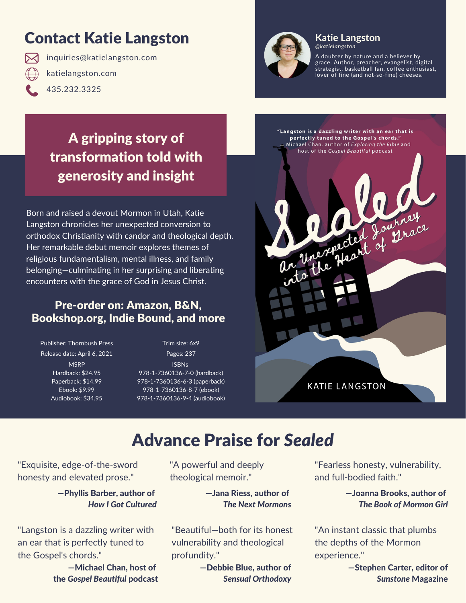# Contact Katie Langston

inquiries@katielangston.com katielangston.com 435.232.3325



#### **Katie Langston** *@katielangston*

A doubter by nature and a believer by grace. Author, preacher, evangelist, digital strategist, basketball fan, coffee enthusiast, lover of fine (and not-so-fine) cheeses.

### A gripping story of transformation told with generosity and insight

Born and raised a devout Mormon in Utah, Katie Langston chronicles her unexpected conversion to orthodox Christianity with candor and theological depth. Her remarkable debut memoir explores themes of religious fundamentalism, mental illness, and family belonging—culminating in her surprising and liberating encounters with the grace of God in Jesus Christ.

#### Pre-order on: Amazon, B&N, Bookshop.org, Indie Bound, and more

Publisher: Thornbush Press Release date: April 6, 2021 **MSRP** Hardback: \$24.95 Paperback: \$14.99 Ebook: \$9.99 Audiobook: \$34.95

Trim size: 6x9 Pages: 237 ISBNs 978-1-7360136-7-0 (hardback) 978-1-7360136-6-3 (paperback) 978-1-7360136-8-7 (ebook) 978-1-7360136-9-4 (audiobook)



# Advance Praise for *Sealed*

"Exquisite, edge-of-the-sword honesty and elevated prose."

> —Phyllis Barber, author of *How I Got Cultured*

"Langston is a dazzling writer with an ear that is perfectly tuned to the Gospel's chords."

> —Michael Chan, host of the *Gospel Beautiful* podcast

"A powerful and deeply theological memoir."

> —Jana Riess, author of *The Next Mormons*

"Beautiful—both for its honest vulnerability and theological profundity."

> —Debbie Blue, author of *Sensual Orthodoxy*

"Fearless honesty, vulnerability, and full-bodied faith."

> —Joanna Brooks, author of *The Book of Mormon Girl*

"An instant classic that plumbs the depths of the Mormon experience."

> —Stephen Carter, editor of *Sunstone* Magazine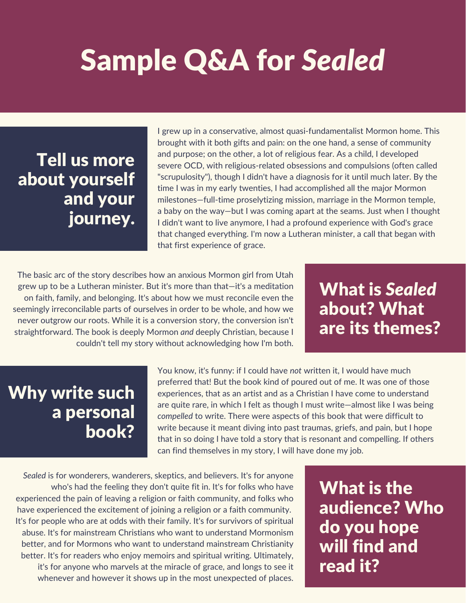# Sample Q&A for *Sealed*

# Tell us more about yourself and your journey.

I grew up in a conservative, almost quasi-fundamentalist Mormon home. This brought with it both gifts and pain: on the one hand, a sense of community and purpose; on the other, a lot of religious fear. As a child, I developed severe OCD, with religious-related obsessions and compulsions (often called "scrupulosity"), though I didn't have a diagnosis for it until much later. By the time I was in my early twenties, I had accomplished all the major Mormon milestones—full-time proselytizing mission, marriage in the Mormon temple, a baby on the way—but I was coming apart at the seams. Just when I thought I didn't want to live anymore, I had a profound experience with God's grace that changed everything. I'm now a Lutheran minister, a call that began with that first experience of grace.

The basic arc of the story describes how an anxious Mormon girl from Utah grew up to be a Lutheran minister. But it's more than that—it's a meditation on faith, family, and belonging. It's about how we must reconcile even the seemingly irreconcilable parts of ourselves in order to be whole, and how we never outgrow our roots. While it is a conversion story, the conversion isn't straightforward. The book is deeply Mormon *and* deeply Christian, because I couldn't tell my story without acknowledging how I'm both.

What is *Sealed* about? What are its themes?

# Why write such a personal book?

You know, it's funny: if I could have *not* written it, I would have much preferred that! But the book kind of poured out of me. It was one of those experiences, that as an artist and as a Christian I have come to understand are quite rare, in which I felt as though I must write—almost like I was being *compelled* to write. There were aspects of this book that were difficult to write because it meant diving into past traumas, griefs, and pain, but I hope that in so doing I have told a story that is resonant and compelling. If others can find themselves in my story, I will have done my job.

*Sealed* is for wonderers, wanderers, skeptics, and believers. It's for anyone who's had the feeling they don't quite fit in. It's for folks who have experienced the pain of leaving a religion or faith community, and folks who have experienced the excitement of joining a religion or a faith community. It's for people who are at odds with their family. It's for survivors of spiritual abuse. It's for mainstream Christians who want to understand Mormonism better, and for Mormons who want to understand mainstream Christianity better. It's for readers who enjoy memoirs and spiritual writing. Ultimately, it's for anyone who marvels at the miracle of grace, and longs to see it whenever and however it shows up in the most unexpected of places.

What is the audience? Who do you hope will find and read it?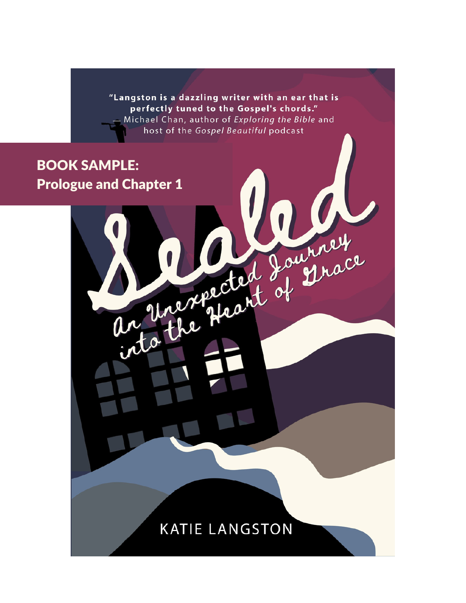"Langston is a dazzling writer with an ear that is perfectly tuned to the Gospel's chords." Michael Chan, author of Exploring the Bible and host of the Gospel Beautiful podcast

Represent of Durace

### BOOK SAMPLE: Prologue and Chapter 1

### **KATIE LANGSTON**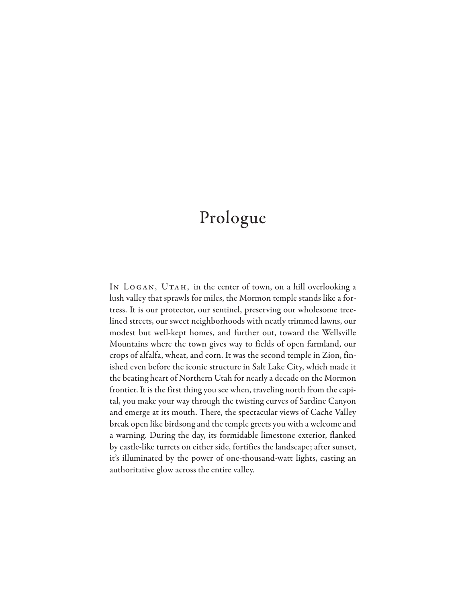## Prologue

IN LOGAN, UTAH, in the center of town, on a hill overlooking a lush valley that sprawls for miles, the Mormon temple stands like a fortress. It is our protector, our sentinel, preserving our wholesome treelined streets, our sweet neighborhoods with neatly trimmed lawns, our modest but well-kept homes, and further out, toward the Wellsville Mountains where the town gives way to fields of open farmland, our crops of alfalfa, wheat, and corn. It was the second temple in Zion, finished even before the iconic structure in Salt Lake City, which made it the beating heart of Northern Utah for nearly a decade on the Mormon frontier. It is the first thing you see when, traveling north from the capital, you make your way through the twisting curves of Sardine Canyon and emerge at its mouth. There, the spectacular views of Cache Valley break open like birdsong and the temple greets you with a welcome and a warning. During the day, its formidable limestone exterior, flanked by castle-like turrets on either side, fortifies the landscape; after sunset, it's illuminated by the power of one-thousand-watt lights, casting an authoritative glow across the entire valley.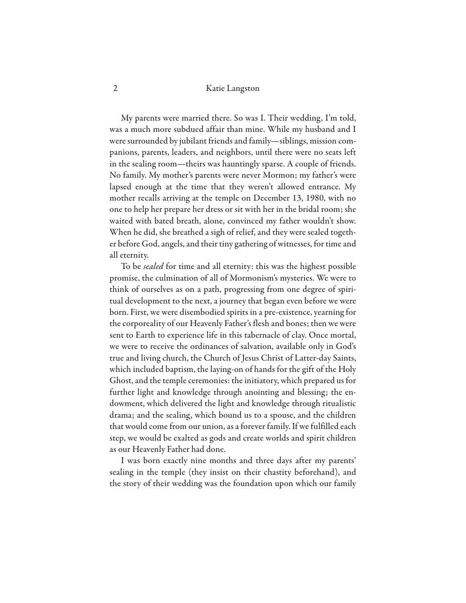#### 2 Katie Langston

My parents were married there. So was I. Their wedding, I'm told, was a much more subdued affair than mine. While my husband and I were surrounded by jubilant friends and family—siblings, mission companions, parents, leaders, and neighbors, until there were no seats left in the sealing room—theirs was hauntingly sparse. A couple of friends. No family. My mother's parents were never Mormon; my father's were lapsed enough at the time that they weren't allowed entrance. My mother recalls arriving at the temple on December 13, 1980, with no one to help her prepare her dress or sit with her in the bridal room; she waited with bated breath, alone, convinced my father wouldn't show. When he did, she breathed a sigh of relief, and they were sealed together before God, angels, and their tiny gathering of witnesses, for time and all eternity.

To be *sealed* for time and all eternity: this was the highest possible promise, the culmination of all of Mormonism's mysteries. We were to think of ourselves as on a path, progressing from one degree of spiritual development to the next, a journey that began even before we were born. First, we were disembodied spirits in a pre-existence, yearning for the corporeality of our Heavenly Father's flesh and bones; then we were sent to Earth to experience life in this tabernacle of clay. Once mortal, we were to receive the ordinances of salvation, available only in God's true and living church, the Church of Jesus Christ of Latter-day Saints, which included baptism, the laying-on of hands for the gift of the Holy Ghost, and the temple ceremonies: the initiatory, which prepared us for further light and knowledge through anointing and blessing; the endowment, which delivered the light and knowledge through ritualistic drama; and the sealing, which bound us to a spouse, and the children that would come from our union, as a forever family. If we fulfilled each step, we would be exalted as gods and create worlds and spirit children as our Heavenly Father had done.

I was born exactly nine months and three days after my parents' sealing in the temple (they insist on their chastity beforehand), and the story of their wedding was the foundation upon which our family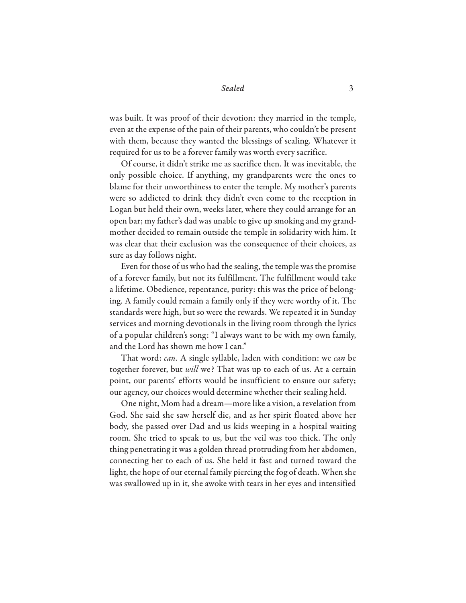was built. It was proof of their devotion: they married in the temple, even at the expense of the pain of their parents, who couldn't be present with them, because they wanted the blessings of sealing. Whatever it required for us to be a forever family was worth every sacrifice.

Of course, it didn't strike me as sacrifice then. It was inevitable, the only possible choice. If anything, my grandparents were the ones to blame for their unworthiness to enter the temple. My mother's parents were so addicted to drink they didn't even come to the reception in Logan but held their own, weeks later, where they could arrange for an open bar; my father's dad was unable to give up smoking and my grandmother decided to remain outside the temple in solidarity with him. It was clear that their exclusion was the consequence of their choices, as sure as day follows night.

Even for those of us who had the sealing, the temple was the promise of a forever family, but not its fulfillment. The fulfillment would take a lifetime. Obedience, repentance, purity: this was the price of belonging. A family could remain a family only if they were worthy of it. The standards were high, but so were the rewards. We repeated it in Sunday services and morning devotionals in the living room through the lyrics of a popular children's song: "I always want to be with my own family, and the Lord has shown me how I can."

That word: *can.* A single syllable, laden with condition: we *can* be together forever, but *will* we? That was up to each of us. At a certain point, our parents' efforts would be insufficient to ensure our safety; our agency, our choices would determine whether their sealing held.

One night, Mom had a dream—more like a vision, a revelation from God. She said she saw herself die, and as her spirit floated above her body, she passed over Dad and us kids weeping in a hospital waiting room. She tried to speak to us, but the veil was too thick. The only thing penetrating it was a golden thread protruding from her abdomen, connecting her to each of us. She held it fast and turned toward the light, the hope of our eternal family piercing the fog of death. When she was swallowed up in it, she awoke with tears in her eyes and intensified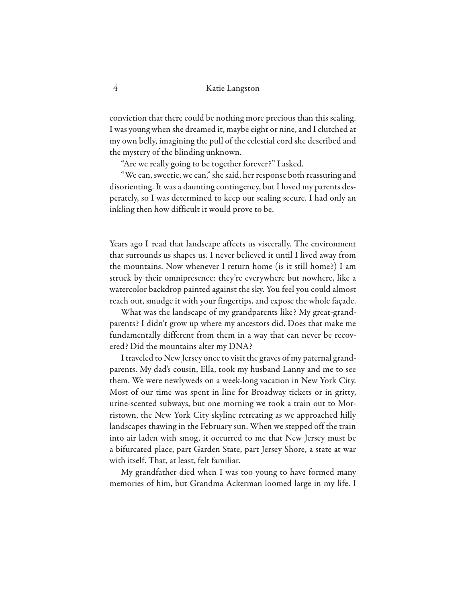conviction that there could be nothing more precious than this sealing. I was young when she dreamed it, maybe eight or nine, and I clutched at my own belly, imagining the pull of the celestial cord she described and the mystery of the blinding unknown.

"Are we really going to be together forever?" I asked.

"We can, sweetie, we can," she said, her response both reassuring and disorienting. It was a daunting contingency, but I loved my parents desperately, so I was determined to keep our sealing secure. I had only an inkling then how difficult it would prove to be.

Years ago I read that landscape affects us viscerally. The environment that surrounds us shapes us. I never believed it until I lived away from the mountains. Now whenever I return home (is it still home?) I am struck by their omnipresence: they're everywhere but nowhere, like a watercolor backdrop painted against the sky. You feel you could almost reach out, smudge it with your fingertips, and expose the whole façade.

What was the landscape of my grandparents like? My great-grandparents? I didn't grow up where my ancestors did. Does that make me fundamentally different from them in a way that can never be recovered? Did the mountains alter my DNA?

I traveled to New Jersey once to visit the graves of my paternal grandparents. My dad's cousin, Ella, took my husband Lanny and me to see them. We were newlyweds on a week-long vacation in New York City. Most of our time was spent in line for Broadway tickets or in gritty, urine-scented subways, but one morning we took a train out to Morristown, the New York City skyline retreating as we approached hilly landscapes thawing in the February sun. When we stepped off the train into air laden with smog, it occurred to me that New Jersey must be a bifurcated place, part Garden State, part Jersey Shore, a state at war with itself. That, at least, felt familiar.

My grandfather died when I was too young to have formed many memories of him, but Grandma Ackerman loomed large in my life. I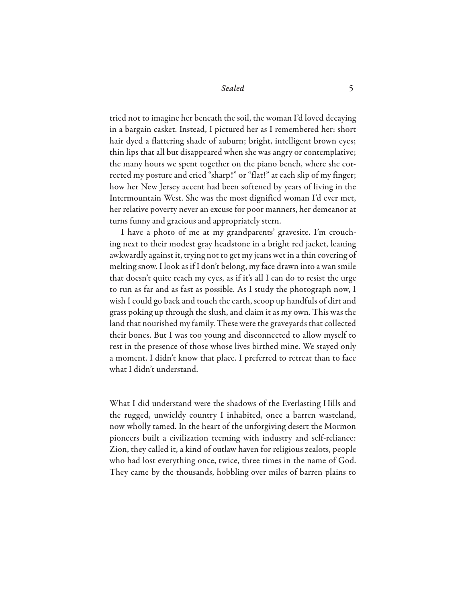tried not to imagine her beneath the soil, the woman I'd loved decaying in a bargain casket. Instead, I pictured her as I remembered her: short hair dyed a flattering shade of auburn; bright, intelligent brown eyes; thin lips that all but disappeared when she was angry or contemplative; the many hours we spent together on the piano bench, where she corrected my posture and cried "sharp!" or "flat!" at each slip of my finger; how her New Jersey accent had been softened by years of living in the Intermountain West. She was the most dignified woman I'd ever met, her relative poverty never an excuse for poor manners, her demeanor at turns funny and gracious and appropriately stern.

I have a photo of me at my grandparents' gravesite. I'm crouching next to their modest gray headstone in a bright red jacket, leaning awkwardly against it, trying not to get my jeans wet in a thin covering of melting snow. I look as if I don't belong, my face drawn into a wan smile that doesn't quite reach my eyes, as if it's all I can do to resist the urge to run as far and as fast as possible. As I study the photograph now, I wish I could go back and touch the earth, scoop up handfuls of dirt and grass poking up through the slush, and claim it as my own. This was the land that nourished my family. These were the graveyards that collected their bones. But I was too young and disconnected to allow myself to rest in the presence of those whose lives birthed mine. We stayed only a moment. I didn't know that place. I preferred to retreat than to face what I didn't understand.

What I did understand were the shadows of the Everlasting Hills and the rugged, unwieldy country I inhabited, once a barren wasteland, now wholly tamed. In the heart of the unforgiving desert the Mormon pioneers built a civilization teeming with industry and self-reliance: Zion, they called it, a kind of outlaw haven for religious zealots, people who had lost everything once, twice, three times in the name of God. They came by the thousands, hobbling over miles of barren plains to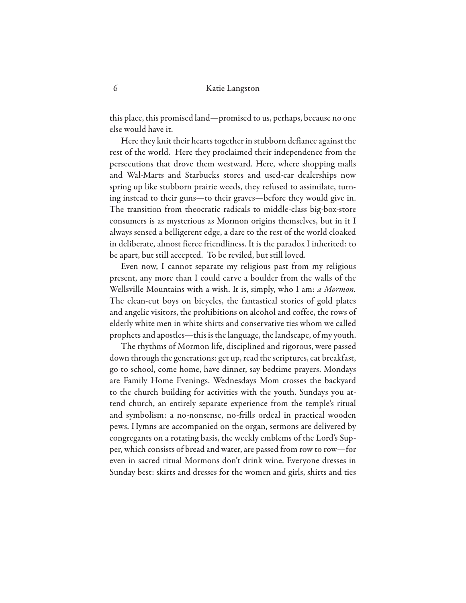this place, this promised land—promised to us, perhaps, because no one else would have it.

Here they knit their hearts together in stubborn defiance against the rest of the world. Here they proclaimed their independence from the persecutions that drove them westward. Here, where shopping malls and Wal-Marts and Starbucks stores and used-car dealerships now spring up like stubborn prairie weeds, they refused to assimilate, turning instead to their guns—to their graves—before they would give in. The transition from theocratic radicals to middle-class big-box-store consumers is as mysterious as Mormon origins themselves, but in it I always sensed a belligerent edge, a dare to the rest of the world cloaked in deliberate, almost fierce friendliness. It is the paradox I inherited: to be apart, but still accepted. To be reviled, but still loved.

Even now, I cannot separate my religious past from my religious present, any more than I could carve a boulder from the walls of the Wellsville Mountains with a wish. It is, simply, who I am: *a Mormon.*  The clean-cut boys on bicycles, the fantastical stories of gold plates and angelic visitors, the prohibitions on alcohol and coffee, the rows of elderly white men in white shirts and conservative ties whom we called prophets and apostles—this is the language, the landscape, of my youth.

The rhythms of Mormon life, disciplined and rigorous, were passed down through the generations: get up, read the scriptures, eat breakfast, go to school, come home, have dinner, say bedtime prayers. Mondays are Family Home Evenings. Wednesdays Mom crosses the backyard to the church building for activities with the youth. Sundays you attend church, an entirely separate experience from the temple's ritual and symbolism: a no-nonsense, no-frills ordeal in practical wooden pews. Hymns are accompanied on the organ, sermons are delivered by congregants on a rotating basis, the weekly emblems of the Lord's Supper, which consists of bread and water, are passed from row to row—for even in sacred ritual Mormons don't drink wine. Everyone dresses in Sunday best: skirts and dresses for the women and girls, shirts and ties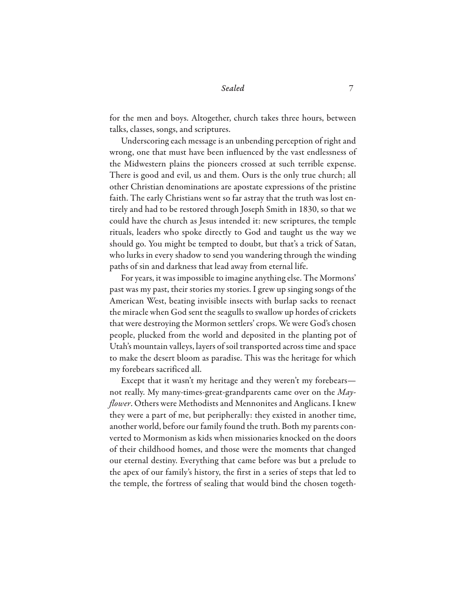for the men and boys. Altogether, church takes three hours, between talks, classes, songs, and scriptures.

Underscoring each message is an unbending perception of right and wrong, one that must have been influenced by the vast endlessness of the Midwestern plains the pioneers crossed at such terrible expense. There is good and evil, us and them. Ours is the only true church; all other Christian denominations are apostate expressions of the pristine faith. The early Christians went so far astray that the truth was lost entirely and had to be restored through Joseph Smith in 1830, so that we could have the church as Jesus intended it: new scriptures, the temple rituals, leaders who spoke directly to God and taught us the way we should go. You might be tempted to doubt, but that's a trick of Satan, who lurks in every shadow to send you wandering through the winding paths of sin and darkness that lead away from eternal life.

For years, it was impossible to imagine anything else. The Mormons' past was my past, their stories my stories. I grew up singing songs of the American West, beating invisible insects with burlap sacks to reenact the miracle when God sent the seagulls to swallow up hordes of crickets that were destroying the Mormon settlers' crops. We were God's chosen people, plucked from the world and deposited in the planting pot of Utah's mountain valleys, layers of soil transported across time and space to make the desert bloom as paradise. This was the heritage for which my forebears sacrificed all.

Except that it wasn't my heritage and they weren't my forebears not really. My many-times-great-grandparents came over on the *Mayflower*. Others were Methodists and Mennonites and Anglicans. I knew they were a part of me, but peripherally: they existed in another time, another world, before our family found the truth. Both my parents converted to Mormonism as kids when missionaries knocked on the doors of their childhood homes, and those were the moments that changed our eternal destiny. Everything that came before was but a prelude to the apex of our family's history, the first in a series of steps that led to the temple, the fortress of sealing that would bind the chosen togeth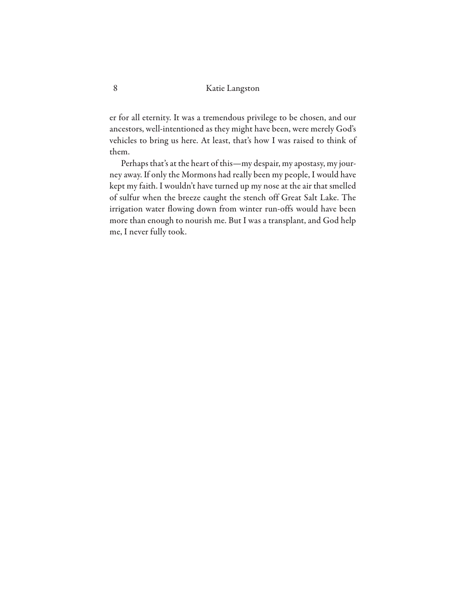er for all eternity. It was a tremendous privilege to be chosen, and our ancestors, well-intentioned as they might have been, were merely God's vehicles to bring us here. At least, that's how I was raised to think of them.

Perhaps that's at the heart of this—my despair, my apostasy, my journey away. If only the Mormons had really been my people, I would have kept my faith. I wouldn't have turned up my nose at the air that smelled of sulfur when the breeze caught the stench off Great Salt Lake. The irrigation water flowing down from winter run-offs would have been more than enough to nourish me. But I was a transplant, and God help me, I never fully took.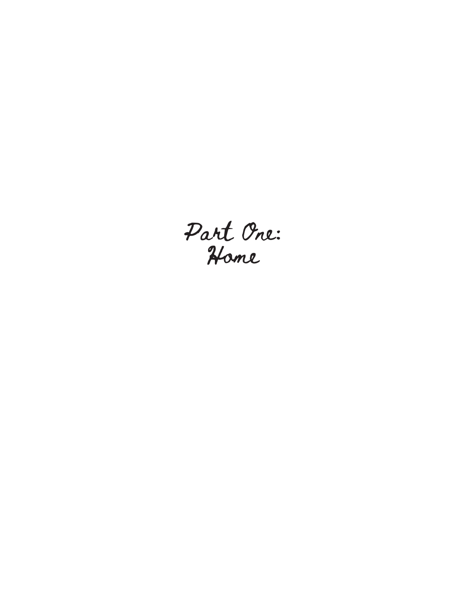Part Vne: Hame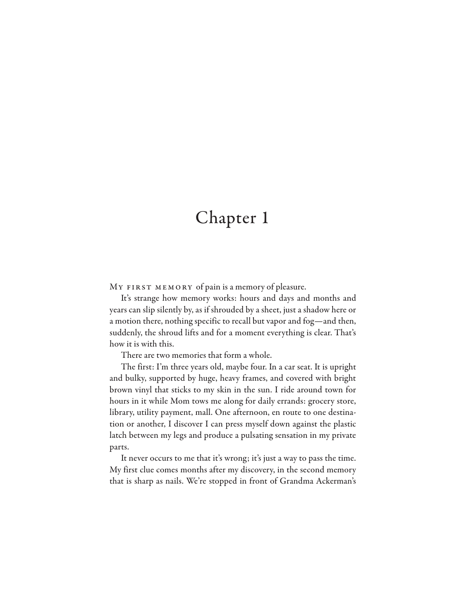### Chapter 1

MY FIRST MEMORY of pain is a memory of pleasure.

It's strange how memory works: hours and days and months and years can slip silently by, as if shrouded by a sheet, just a shadow here or a motion there, nothing specific to recall but vapor and fog—and then, suddenly, the shroud lifts and for a moment everything is clear. That's how it is with this.

There are two memories that form a whole.

The first: I'm three years old, maybe four. In a car seat. It is upright and bulky, supported by huge, heavy frames, and covered with bright brown vinyl that sticks to my skin in the sun. I ride around town for hours in it while Mom tows me along for daily errands: grocery store, library, utility payment, mall. One afternoon, en route to one destination or another, I discover I can press myself down against the plastic latch between my legs and produce a pulsating sensation in my private parts.

It never occurs to me that it's wrong; it's just a way to pass the time. My first clue comes months after my discovery, in the second memory that is sharp as nails. We're stopped in front of Grandma Ackerman's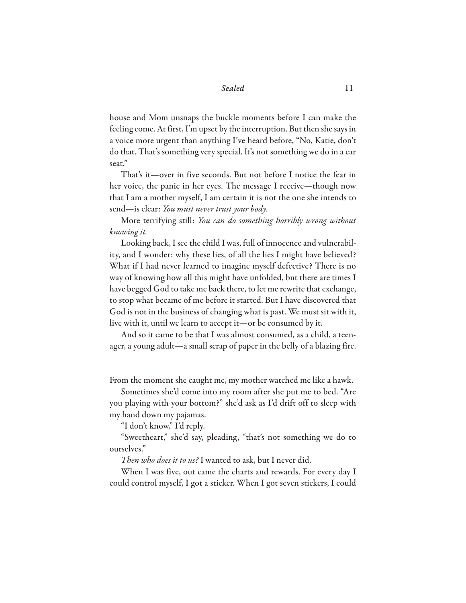house and Mom unsnaps the buckle moments before I can make the feeling come. At first, I'm upset by the interruption. But then she says in a voice more urgent than anything I've heard before, "No, Katie, don't do that. That's something very special. It's not something we do in a car seat."

That's it—over in five seconds. But not before I notice the fear in her voice, the panic in her eyes. The message I receive—though now that I am a mother myself, I am certain it is not the one she intends to send—is clear: *You must never trust your body.* 

More terrifying still: *You can do something horribly wrong without knowing it.*

Looking back, I see the child I was, full of innocence and vulnerability, and I wonder: why these lies, of all the lies I might have believed? What if I had never learned to imagine myself defective? There is no way of knowing how all this might have unfolded, but there are times I have begged God to take me back there, to let me rewrite that exchange, to stop what became of me before it started. But I have discovered that God is not in the business of changing what is past. We must sit with it, live with it, until we learn to accept it—or be consumed by it.

And so it came to be that I was almost consumed, as a child, a teenager, a young adult—a small scrap of paper in the belly of a blazing fire.

From the moment she caught me, my mother watched me like a hawk.

Sometimes she'd come into my room after she put me to bed. "Are you playing with your bottom?" she'd ask as I'd drift off to sleep with my hand down my pajamas.

"I don't know," I'd reply.

"Sweetheart," she'd say, pleading, "that's not something we do to ourselves."

*Then who does it to us?* I wanted to ask, but I never did.

When I was five, out came the charts and rewards. For every day I could control myself, I got a sticker. When I got seven stickers, I could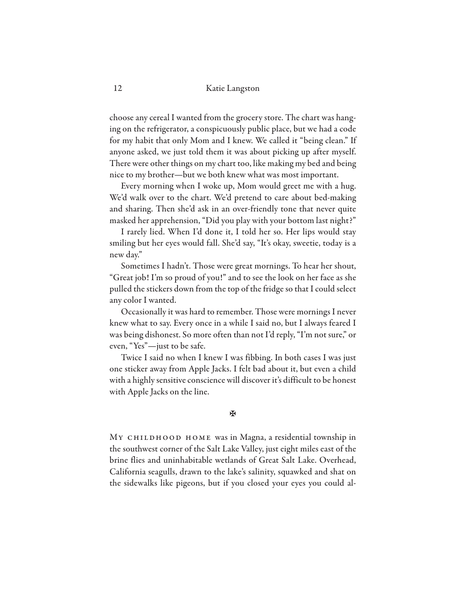choose any cereal I wanted from the grocery store. The chart was hanging on the refrigerator, a conspicuously public place, but we had a code for my habit that only Mom and I knew. We called it "being clean." If anyone asked, we just told them it was about picking up after myself. There were other things on my chart too, like making my bed and being nice to my brother—but we both knew what was most important.

Every morning when I woke up, Mom would greet me with a hug. We'd walk over to the chart. We'd pretend to care about bed-making and sharing. Then she'd ask in an over-friendly tone that never quite masked her apprehension, "Did you play with your bottom last night?"

I rarely lied. When I'd done it, I told her so. Her lips would stay smiling but her eyes would fall. She'd say, "It's okay, sweetie, today is a new day."

Sometimes I hadn't. Those were great mornings. To hear her shout, "Great job! I'm so proud of you!" and to see the look on her face as she pulled the stickers down from the top of the fridge so that I could select any color I wanted.

Occasionally it was hard to remember. Those were mornings I never knew what to say. Every once in a while I said no, but I always feared I was being dishonest. So more often than not I'd reply, "I'm not sure," or even, "Yes"—just to be safe.

Twice I said no when I knew I was fibbing. In both cases I was just one sticker away from Apple Jacks. I felt bad about it, but even a child with a highly sensitive conscience will discover it's difficult to be honest with Apple Jacks on the line.

#### **X**

MY CHILDHOOD HOME was in Magna, a residential township in the southwest corner of the Salt Lake Valley, just eight miles east of the brine flies and uninhabitable wetlands of Great Salt Lake. Overhead, California seagulls, drawn to the lake's salinity, squawked and shat on the sidewalks like pigeons, but if you closed your eyes you could al-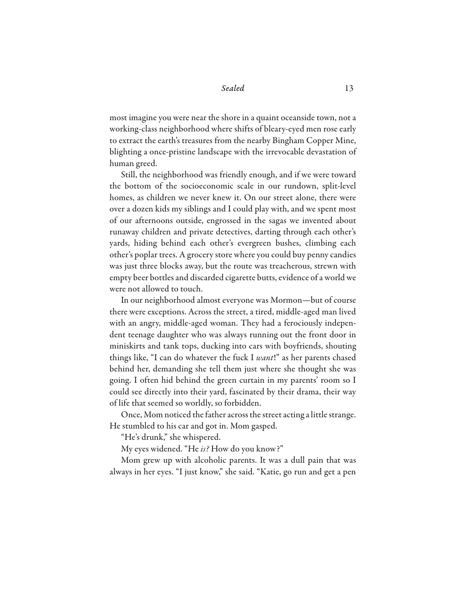most imagine you were near the shore in a quaint oceanside town, not a working-class neighborhood where shifts of bleary-eyed men rose early to extract the earth's treasures from the nearby Bingham Copper Mine, blighting a once-pristine landscape with the irrevocable devastation of human greed.

Still, the neighborhood was friendly enough, and if we were toward the bottom of the socioeconomic scale in our rundown, split-level homes, as children we never knew it. On our street alone, there were over a dozen kids my siblings and I could play with, and we spent most of our afternoons outside, engrossed in the sagas we invented about runaway children and private detectives, darting through each other's yards, hiding behind each other's evergreen bushes, climbing each other's poplar trees. A grocery store where you could buy penny candies was just three blocks away, but the route was treacherous, strewn with empty beer bottles and discarded cigarette butts, evidence of a world we were not allowed to touch.

In our neighborhood almost everyone was Mormon—but of course there were exceptions. Across the street, a tired, middle-aged man lived with an angry, middle-aged woman. They had a ferociously independent teenage daughter who was always running out the front door in miniskirts and tank tops, ducking into cars with boyfriends, shouting things like, "I can do whatever the fuck I *want*!" as her parents chased behind her, demanding she tell them just where she thought she was going. I often hid behind the green curtain in my parents' room so I could see directly into their yard, fascinated by their drama, their way of life that seemed so worldly, so forbidden.

Once, Mom noticed the father across the street acting a little strange. He stumbled to his car and got in. Mom gasped.

"He's drunk," she whispered.

My eyes widened. "He *is?* How do you know?"

Mom grew up with alcoholic parents. It was a dull pain that was always in her eyes. "I just know," she said. "Katie, go run and get a pen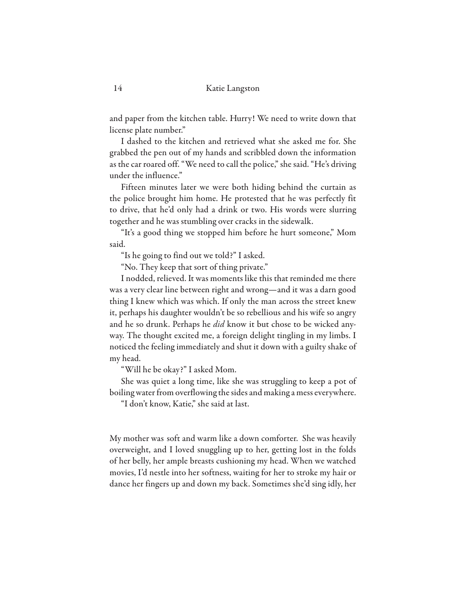and paper from the kitchen table. Hurry! We need to write down that license plate number."

I dashed to the kitchen and retrieved what she asked me for. She grabbed the pen out of my hands and scribbled down the information as the car roared off. "We need to call the police," she said. "He's driving under the influence."

Fifteen minutes later we were both hiding behind the curtain as the police brought him home. He protested that he was perfectly fit to drive, that he'd only had a drink or two. His words were slurring together and he was stumbling over cracks in the sidewalk.

"It's a good thing we stopped him before he hurt someone," Mom said.

"Is he going to find out we told?" I asked.

"No. They keep that sort of thing private."

I nodded, relieved. It was moments like this that reminded me there was a very clear line between right and wrong—and it was a darn good thing I knew which was which. If only the man across the street knew it, perhaps his daughter wouldn't be so rebellious and his wife so angry and he so drunk. Perhaps he *did* know it but chose to be wicked anyway. The thought excited me, a foreign delight tingling in my limbs. I noticed the feeling immediately and shut it down with a guilty shake of my head.

"Will he be okay?" I asked Mom.

She was quiet a long time, like she was struggling to keep a pot of boiling water from overflowing the sides and making a mess everywhere.

"I don't know, Katie," she said at last.

My mother was soft and warm like a down comforter. She was heavily overweight, and I loved snuggling up to her, getting lost in the folds of her belly, her ample breasts cushioning my head. When we watched movies, I'd nestle into her softness, waiting for her to stroke my hair or dance her fingers up and down my back. Sometimes she'd sing idly, her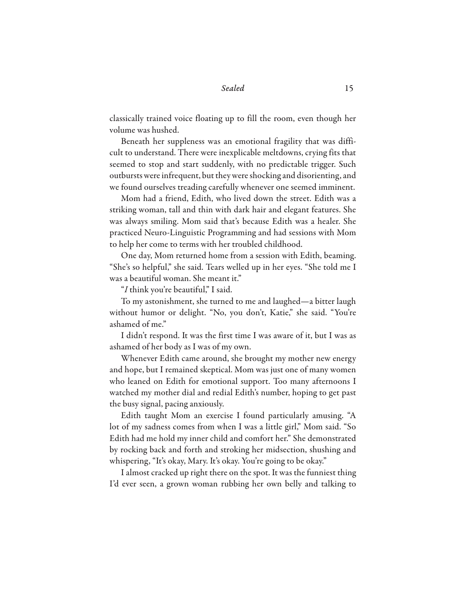classically trained voice floating up to fill the room, even though her volume was hushed.

Beneath her suppleness was an emotional fragility that was difficult to understand. There were inexplicable meltdowns, crying fits that seemed to stop and start suddenly, with no predictable trigger. Such outbursts were infrequent, but they were shocking and disorienting, and we found ourselves treading carefully whenever one seemed imminent.

Mom had a friend, Edith, who lived down the street. Edith was a striking woman, tall and thin with dark hair and elegant features. She was always smiling. Mom said that's because Edith was a healer. She practiced Neuro-Linguistic Programming and had sessions with Mom to help her come to terms with her troubled childhood.

One day, Mom returned home from a session with Edith, beaming. "She's so helpful," she said. Tears welled up in her eyes. "She told me I was a beautiful woman. She meant it."

"*I* think you're beautiful," I said.

To my astonishment, she turned to me and laughed—a bitter laugh without humor or delight. "No, you don't, Katie," she said. "You're ashamed of me."

I didn't respond. It was the first time I was aware of it, but I was as ashamed of her body as I was of my own.

Whenever Edith came around, she brought my mother new energy and hope, but I remained skeptical. Mom was just one of many women who leaned on Edith for emotional support. Too many afternoons I watched my mother dial and redial Edith's number, hoping to get past the busy signal, pacing anxiously.

Edith taught Mom an exercise I found particularly amusing. "A lot of my sadness comes from when I was a little girl," Mom said. "So Edith had me hold my inner child and comfort her." She demonstrated by rocking back and forth and stroking her midsection, shushing and whispering, "It's okay, Mary. It's okay. You're going to be okay."

I almost cracked up right there on the spot. It was the funniest thing I'd ever seen, a grown woman rubbing her own belly and talking to